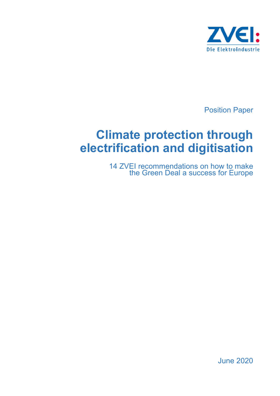

Position Paper

# **Climate protection through electrification and digitisation**

14 ZVEI recommendations on how to make the Green Deal a success for Europe

June 2020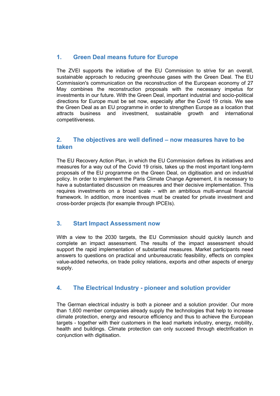# **1. Green Deal means future for Europe**

The ZVEI supports the initiative of the EU Commission to strive for an overall, sustainable approach to reducing greenhouse gases with the Green Deal. The EU Commission's communication on the reconstruction of the European economy of 27 May combines the reconstruction proposals with the necessary impetus for investments in our future. With the Green Deal, important industrial and socio-political directions for Europe must be set now, especially after the Covid 19 crisis. We see the Green Deal as an EU programme in order to strengthen Europe as a location that attracts business and investment, sustainable growth and international competitiveness.

#### **2. The objectives are well defined – now measures have to be taken**

The EU Recovery Action Plan, in which the EU Commission defines its initiatives and measures for a way out of the Covid 19 crisis, takes up the most important long-term proposals of the EU programme on the Green Deal, on digitisation and on industrial policy. In order to implement the Paris Climate Change Agreement, it is necessary to have a substantiated discussion on measures and their decisive implementation. This requires investments on a broad scale - with an ambitious multi-annual financial framework. In addition, more incentives must be created for private investment and cross-border projects (for example through IPCEIs).

#### **3. Start Impact Assessment now**

With a view to the 2030 targets, the EU Commission should quickly launch and complete an impact assessment. The results of the impact assessment should support the rapid implementation of substantial measures. Market participants need answers to questions on practical and unbureaucratic feasibility, effects on complex value-added networks, on trade policy relations, exports and other aspects of energy supply.

#### **4. The Electrical Industry - pioneer and solution provider**

The German electrical industry is both a pioneer and a solution provider. Our more than 1,600 member companies already supply the technologies that help to increase climate protection, energy and resource efficiency and thus to achieve the European targets - together with their customers in the lead markets industry, energy, mobility, health and buildings. Climate protection can only succeed through electrification in conjunction with digitisation.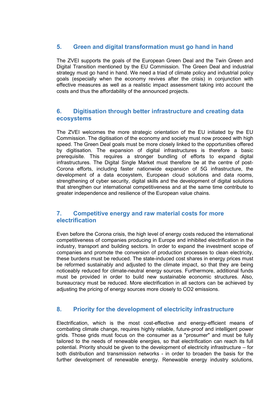## **5. Green and digital transformation must go hand in hand**

The ZVEI supports the goals of the European Green Deal and the Twin Green and Digital Transition mentioned by the EU Commission. The Green Deal and industrial strategy must go hand in hand. We need a triad of climate policy and industrial policy goals (especially when the economy revives after the crisis) in conjunction with effective measures as well as a realistic impact assessment taking into account the costs and thus the affordability of the announced projects.

## **6. Digitisation through better infrastructure and creating data ecosystems**

The ZVEI welcomes the more strategic orientation of the EU initiated by the EU Commission. The digitisation of the economy and society must now proceed with high speed. The Green Deal goals must be more closely linked to the opportunities offered by digitisation. The expansion of digital infrastructures is therefore a basic prerequisite. This requires a stronger bundling of efforts to expand digital infrastructures. The Digital Single Market must therefore be at the centre of post-Corona efforts, including faster nationwide expansion of 5G infrastructure, the development of a data ecosystem, European cloud solutions and data rooms, strengthening of cyber security, digital skills and the development of digital solutions that strengthen our international competitiveness and at the same time contribute to greater independence and resilience of the European value chains.

#### **7. Competitive energy and raw material costs for more electrification**

Even before the Corona crisis, the high level of energy costs reduced the international competitiveness of companies producing in Europe and inhibited electrification in the industry, transport and building sectors. In order to expand the investment scope of companies and promote the conversion of production processes to clean electricity, these burdens must be reduced. The state-induced cost shares in energy prices must be reformed sustainably and adjusted to the climate impact, so that they are being noticeably reduced for climate-neutral energy sources. Furthermore, additional funds must be provided in order to build new sustainable economic structures. Also, bureaucracy must be reduced. More electrification in all sectors can be achieved by adjusting the pricing of energy sources more closely to CO2 emissions.

#### **8. Priority for the development of electricity infrastructure**

Electrification, which is the most cost-effective and energy-efficient means of combating climate change, requires highly reliable, future-proof and intelligent power grids. Those grids must focus on the consumer as a "prosumer" and must be fully tailored to the needs of renewable energies, so that electrification can reach its full potential. Priority should be given to the development of electricity infrastructure – for both distribution and transmission networks - in order to broaden the basis for the further development of renewable energy. Renewable energy industry solutions,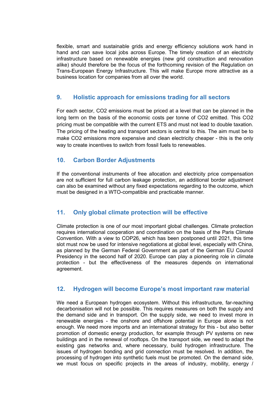flexible, smart and sustainable grids and energy efficiency solutions work hand in hand and can save local jobs across Europe. The timely creation of an electricity infrastructure based on renewable energies (new grid construction and renovation alike) should therefore be the focus of the forthcoming revision of the Regulation on Trans-European Energy Infrastructure. This will make Europe more attractive as a business location for companies from all over the world.

#### **9. Holistic approach for emissions trading for all sectors**

For each sector, CO2 emissions must be priced at a level that can be planned in the long term on the basis of the economic costs per tonne of CO2 emitted. This CO2 pricing must be compatible with the current ETS and must not lead to double taxation. The pricing of the heating and transport sectors is central to this. The aim must be to make CO2 emissions more expensive and clean electricity cheaper - this is the only way to create incentives to switch from fossil fuels to renewables.

#### **10. Carbon Border Adjustments**

If the conventional instruments of free allocation and electricity price compensation are not sufficient for full carbon leakage protection, an additional border adjustment can also be examined without any fixed expectations regarding to the outcome, which must be designed in a WTO-compatible and practicable manner.

# **11. Only global climate protection will be effective**

Climate protection is one of our most important global challenges. Climate protection requires international cooperation and coordination on the basis of the Paris Climate Convention. With a view to COP26, which has been postponed until 2021, this time slot must now be used for intensive negotiations at global level, especially with China, as planned by the German Federal Government as part of the German EU Council Presidency in the second half of 2020. Europe can play a pioneering role in climate protection - but the effectiveness of the measures depends on international agreement.

#### **12. Hydrogen will become Europe's most important raw material**

We need a European hydrogen ecosystem. Without this infrastructure, far-reaching decarbonisation will not be possible. This requires measures on both the supply and the demand side and in transport. On the supply side, we need to invest more in renewable energies - the onshore and offshore potential in Europe alone is not enough. We need more imports and an international strategy for this - but also better promotion of domestic energy production, for example through PV systems on new buildings and in the renewal of rooftops. On the transport side, we need to adapt the existing gas networks and, where necessary, build hydrogen infrastructure. The issues of hydrogen bonding and grid connection must be resolved. In addition, the processing of hydrogen into synthetic fuels must be promoted. On the demand side, we must focus on specific projects in the areas of industry, mobility, energy /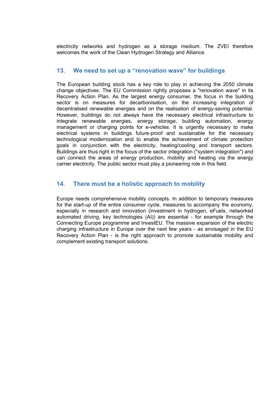electricity networks and hydrogen as a storage medium. The ZVEI therefore welcomes the work of the Clean Hydrogen Strategy and Alliance.

#### **13. We need to set up a "renovation wave" for buildings**

The European building stock has a key role to play in achieving the 2050 climate change objectives. The EU Commission rightly proposes a "renovation wave" in its Recovery Action Plan. As the largest energy consumer, the focus in the building sector is on measures for decarbonisation, on the increasing integration of decentralised renewable energies and on the realisation of energy-saving potential. However, buildings do not always have the necessary electrical infrastructure to integrate renewable energies, energy storage, building automation, energy management or charging points for e-vehicles. It is urgently necessary to make electrical systems in buildings future-proof and sustainable for the necessary technological modernization and to enable the achievement of climate protection goals in conjunction with the electricity, heating/cooling and transport sectors. Buildings are thus right in the focus of the sector integration ("system integration") and can connect the areas of energy production, mobility and heating via the energy carrier electricity. The public sector must play a pioneering role in this field.

#### **14. There must be a holistic approach to mobility**

Europe needs comprehensive mobility concepts. In addition to temporary measures for the start-up of the entire consumer cycle, measures to accompany the economy, especially in research and innovation (investment in hydrogen, eFuels, networked automated driving, key technologies (AI)) are essential - for example through the Connecting Europe programme and InvestEU. The massive expansion of the electric charging infrastructure in Europe over the next few years - as envisaged in the EU Recovery Action Plan - is the right approach to promote sustainable mobility and complement existing transport solutions.